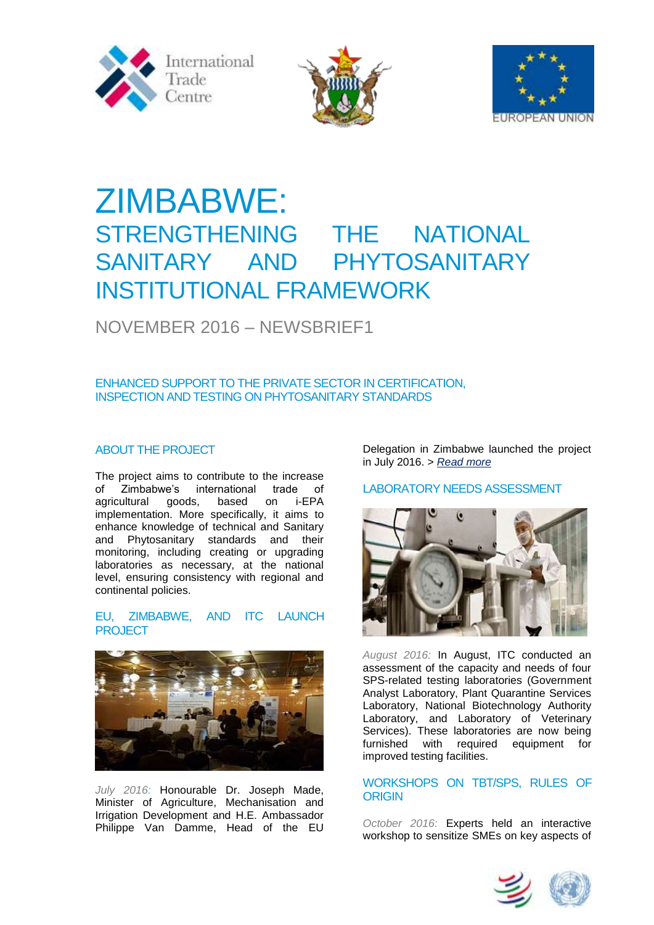





# ZIMBABWE: STRENGTHENING THE NATIONAL SANITARY AND PHYTOSANITARY INSTITUTIONAL FRAMEWORK

# NOVEMBER 2016 – NEWSBRIEF1

### ENHANCED SUPPORT TO THE PRIVATE SECTOR IN CERTIFICATION, INSPECTION AND TESTING ON PHYTOSANITARY STANDARDS

## ABOUT THE PROJECT

The project aims to contribute to the increase of Zimbabwe's international trade of agricultural goods, based on i-EPA implementation. More specifically, it aims to enhance knowledge of technical and Sanitary and Phytosanitary standards and their monitoring, including creating or upgrading laboratories as necessary, at the national level, ensuring consistency with regional and continental policies.

#### EU, ZIMBABWE, AND ITC LAUNCH PROJECT



*July 2016:* Honourable Dr. Joseph Made, Minister of Agriculture, Mechanisation and Irrigation Development and H.E. Ambassador Philippe Van Damme, Head of the EU

Delegation in Zimbabwe launched the project in July 2016. > *[Read more](http://www.intracen.org/news/Zimbabwe-to-improve-health-and-safety-compliance-with-support-from-ITC-European-Union/)* 

# LABORATORY NEEDS ASSESSMENT



*August 2016:* In August, ITC conducted an assessment of the capacity and needs of four SPS-related testing laboratories (Government Analyst Laboratory, Plant Quarantine Services Laboratory, National Biotechnology Authority Laboratory, and Laboratory of Veterinary Services). These laboratories are now being furnished with required equipment for improved testing facilities.

#### WORKSHOPS ON TBT/SPS, RULES OF **ORIGIN**

*October 2016:* Experts held an interactive workshop to sensitize SMEs on key aspects of